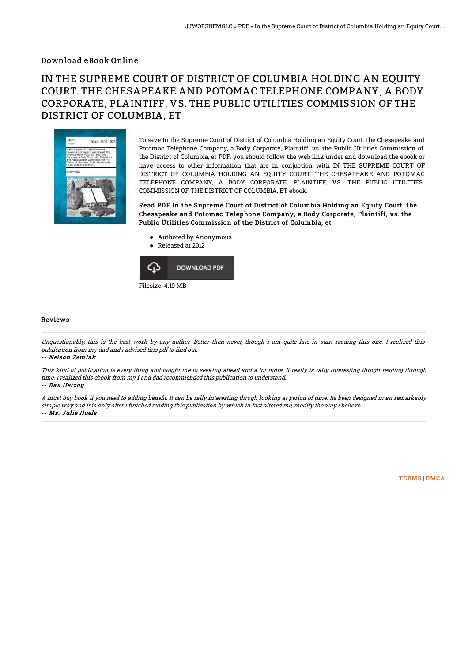## Download eBook Online

## IN THE SUPREME COURT OF DISTRICT OF COLUMBIA HOLDING AN EQUITY COURT. THE CHESAPEAKE AND POTOMAC TELEPHONE COMPANY, A BODY CORPORATE, PLAINTIFF, VS. THE PUBLIC UTILITIES COMMISSION OF THE DISTRICT OF COLUMBIA, ET



To save In the Supreme Court of District of Columbia Holding an Equity Court. the Chesapeake and Potomac Telephone Company, a Body Corporate, Plaintiff, vs. the Public Utilities Commission of the District of Columbia, et PDF, you should follow the web link under and download the ebook or have access to other information that are in conjuction with IN THE SUPREME COURT OF DISTRICT OF COLUMBIA HOLDING AN EQUITY COURT. THE CHESAPEAKE AND POTOMAC TELEPHONE COMPANY, A BODY CORPORATE, PLAINTIFF, VS. THE PUBLIC UTILITIES COMMISSION OF THE DISTRICT OF COLUMBIA, ET ebook.

Read PDF In the Supreme Court of District of Columbia Holding an Equity Court. the Chesapeake and Potomac Telephone Company, a Body Corporate, Plaintiff, vs. the Public Utilities Commission of the District of Columbia, et

- Authored by Anonymous
- Released at 2012



## Reviews

Unquestionably, this is the best work by any author. Better then never, though i am quite late in start reading this one. I realized this publication from my dad and i advised this pdf to find out.

-- Nelson Zemlak

This kind of publication is every thing and taught me to seeking ahead and <sup>a</sup> lot more. It really is rally interesting throgh reading through time. I realized this ebook from my i and dad recommended this publication to understand. -- Dax Herzog

A must buy book if you need to adding benefit. It can be rally interesting throgh looking at period of time. Its been designed in an remarkably simple way and it is only after i finished reading this publication by which in fact altered me, modify the way i believe. -- Ms. Julie Huels